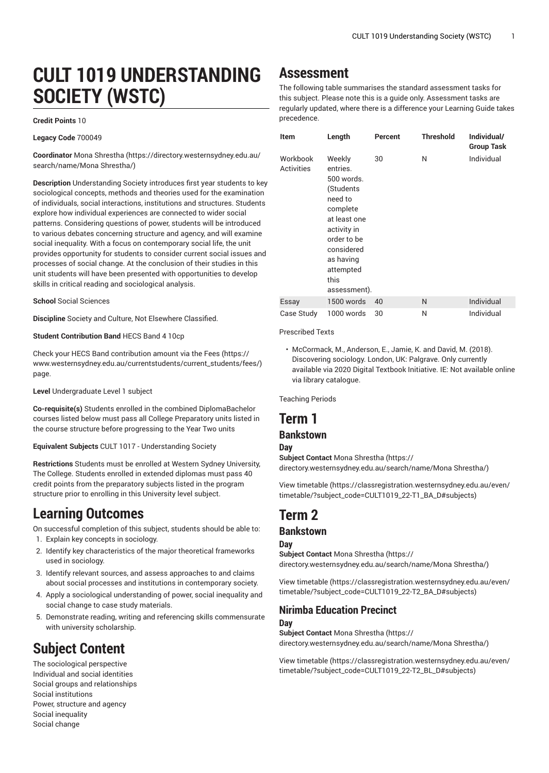# **CULT 1019 UNDERSTANDING SOCIETY (WSTC)**

#### **Credit Points** 10

**Legacy Code** 700049

**Coordinator** Mona [Shrestha](https://directory.westernsydney.edu.au/search/name/Mona Shrestha/) ([https://directory.westernsydney.edu.au/](https://directory.westernsydney.edu.au/search/name/Mona Shrestha/) [search/name/Mona](https://directory.westernsydney.edu.au/search/name/Mona Shrestha/) Shrestha/)

**Description** Understanding Society introduces first year students to key sociological concepts, methods and theories used for the examination of individuals, social interactions, institutions and structures. Students explore how individual experiences are connected to wider social patterns. Considering questions of power, students will be introduced to various debates concerning structure and agency, and will examine social inequality. With a focus on contemporary social life, the unit provides opportunity for students to consider current social issues and processes of social change. At the conclusion of their studies in this unit students will have been presented with opportunities to develop skills in critical reading and sociological analysis.

#### **School** Social Sciences

**Discipline** Society and Culture, Not Elsewhere Classified.

#### **Student Contribution Band** HECS Band 4 10cp

Check your HECS Band contribution amount via the [Fees \(https://](https://www.westernsydney.edu.au/currentstudents/current_students/fees/) [www.westernsydney.edu.au/currentstudents/current\\_students/fees/\)](https://www.westernsydney.edu.au/currentstudents/current_students/fees/) page.

**Level** Undergraduate Level 1 subject

**Co-requisite(s)** Students enrolled in the combined DiplomaBachelor courses listed below must pass all College Preparatory units listed in the course structure before progressing to the Year Two units

**Equivalent Subjects** [CULT](/search/?P=CULT%201017) 1017 - Understanding Society

**Restrictions** Students must be enrolled at Western Sydney University, The College. Students enrolled in extended diplomas must pass 40 credit points from the preparatory subjects listed in the program structure prior to enrolling in this University level subject.

### **Learning Outcomes**

On successful completion of this subject, students should be able to:

- 1. Explain key concepts in sociology.
- 2. Identify key characteristics of the major theoretical frameworks used in sociology.
- 3. Identify relevant sources, and assess approaches to and claims about social processes and institutions in contemporary society.
- 4. Apply a sociological understanding of power, social inequality and social change to case study materials.
- 5. Demonstrate reading, writing and referencing skills commensurate with university scholarship.

# **Subject Content**

The sociological perspective Individual and social identities Social groups and relationships Social institutions Power, structure and agency Social inequality Social change

# **Assessment**

The following table summarises the standard assessment tasks for this subject. Please note this is a guide only. Assessment tasks are regularly updated, where there is a difference your Learning Guide takes precedence.

| <b>Item</b>                   | Length                                                                                                                                                                             | Percent | <b>Threshold</b> | Individual/<br><b>Group Task</b> |
|-------------------------------|------------------------------------------------------------------------------------------------------------------------------------------------------------------------------------|---------|------------------|----------------------------------|
| Workbook<br><b>Activities</b> | Weekly<br>entries.<br>500 words.<br>(Students<br>need to<br>complete<br>at least one<br>activity in<br>order to be<br>considered<br>as having<br>attempted<br>this<br>assessment). | 30      | N                | Individual                       |
| Essay                         | 1500 words                                                                                                                                                                         | 40      | N                | Individual                       |
| Case Study                    | 1000 words                                                                                                                                                                         | 30      | N                | Individual                       |

Prescribed Texts

• McCormack, M., Anderson, E., Jamie, K. and David, M. (2018). Discovering sociology. London, UK: Palgrave. Only currently available via 2020 Digital Textbook Initiative. IE: Not available online via library catalogue.

Teaching Periods

## **Term 1**

### **Bankstown**

#### **Day**

**Subject Contact** Mona [Shrestha](https://directory.westernsydney.edu.au/search/name/Mona Shrestha/) [\(https://](https://directory.westernsydney.edu.au/search/name/Mona Shrestha/) [directory.westernsydney.edu.au/search/name/Mona](https://directory.westernsydney.edu.au/search/name/Mona Shrestha/) Shrestha/)

[View timetable](https://classregistration.westernsydney.edu.au/even/timetable/?subject_code=CULT1019_22-T1_BA_D#subjects) [\(https://classregistration.westernsydney.edu.au/even/](https://classregistration.westernsydney.edu.au/even/timetable/?subject_code=CULT1019_22-T1_BA_D#subjects) [timetable/?subject\\_code=CULT1019\\_22-T1\\_BA\\_D#subjects\)](https://classregistration.westernsydney.edu.au/even/timetable/?subject_code=CULT1019_22-T1_BA_D#subjects)

# **Term 2**

### **Bankstown**

#### **Day**

**Subject Contact** Mona [Shrestha](https://directory.westernsydney.edu.au/search/name/Mona Shrestha/) [\(https://](https://directory.westernsydney.edu.au/search/name/Mona Shrestha/) [directory.westernsydney.edu.au/search/name/Mona](https://directory.westernsydney.edu.au/search/name/Mona Shrestha/) Shrestha/)

[View timetable](https://classregistration.westernsydney.edu.au/even/timetable/?subject_code=CULT1019_22-T2_BA_D#subjects) [\(https://classregistration.westernsydney.edu.au/even/](https://classregistration.westernsydney.edu.au/even/timetable/?subject_code=CULT1019_22-T2_BA_D#subjects) [timetable/?subject\\_code=CULT1019\\_22-T2\\_BA\\_D#subjects\)](https://classregistration.westernsydney.edu.au/even/timetable/?subject_code=CULT1019_22-T2_BA_D#subjects)

### **Nirimba Education Precinct**

**Day**

**Subject Contact** Mona [Shrestha](https://directory.westernsydney.edu.au/search/name/Mona Shrestha/) [\(https://](https://directory.westernsydney.edu.au/search/name/Mona Shrestha/) [directory.westernsydney.edu.au/search/name/Mona](https://directory.westernsydney.edu.au/search/name/Mona Shrestha/) Shrestha/)

[View timetable](https://classregistration.westernsydney.edu.au/even/timetable/?subject_code=CULT1019_22-T2_BL_D#subjects) [\(https://classregistration.westernsydney.edu.au/even/](https://classregistration.westernsydney.edu.au/even/timetable/?subject_code=CULT1019_22-T2_BL_D#subjects) [timetable/?subject\\_code=CULT1019\\_22-T2\\_BL\\_D#subjects\)](https://classregistration.westernsydney.edu.au/even/timetable/?subject_code=CULT1019_22-T2_BL_D#subjects)